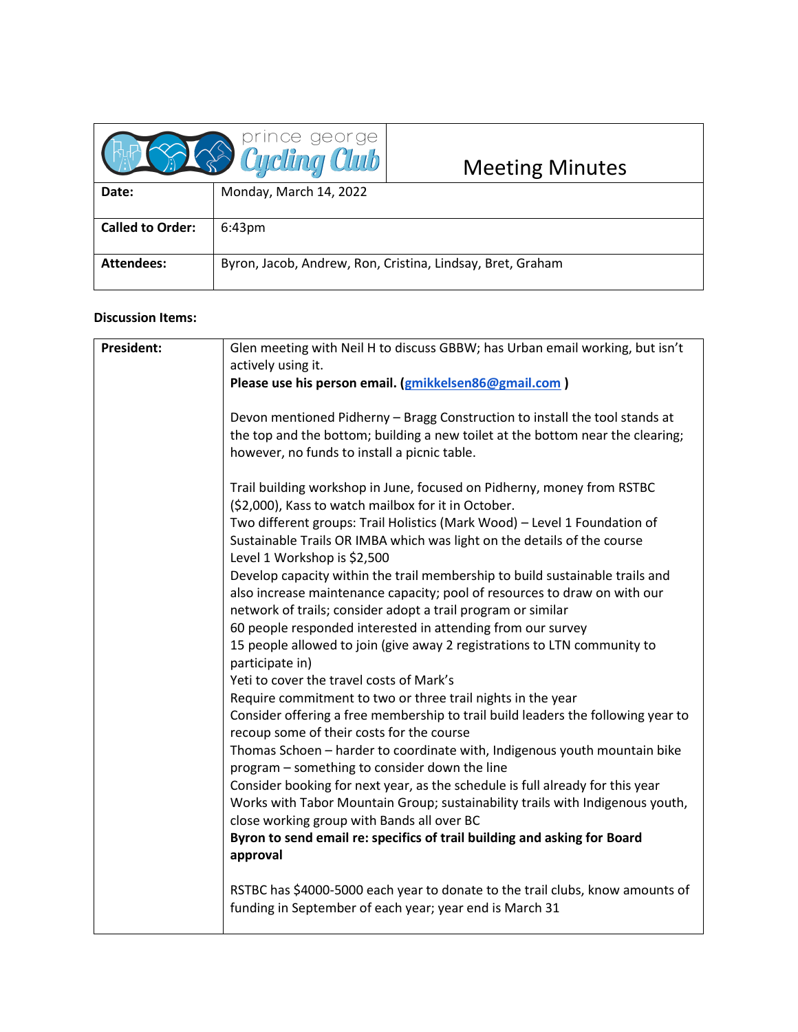|                         | <b>B</b> Prince george | <b>Meeting Minutes</b>                                     |
|-------------------------|------------------------|------------------------------------------------------------|
| Date:                   | Monday, March 14, 2022 |                                                            |
| <b>Called to Order:</b> | 6:43 <sub>pm</sub>     |                                                            |
| <b>Attendees:</b>       |                        | Byron, Jacob, Andrew, Ron, Cristina, Lindsay, Bret, Graham |

## **Discussion Items:**

| President: | Glen meeting with Neil H to discuss GBBW; has Urban email working, but isn't<br>actively using it.                                                                                                                                                                                       |
|------------|------------------------------------------------------------------------------------------------------------------------------------------------------------------------------------------------------------------------------------------------------------------------------------------|
|            | Please use his person email. (gmikkelsen86@gmail.com)                                                                                                                                                                                                                                    |
|            | Devon mentioned Pidherny - Bragg Construction to install the tool stands at<br>the top and the bottom; building a new toilet at the bottom near the clearing;<br>however, no funds to install a picnic table.                                                                            |
|            | Trail building workshop in June, focused on Pidherny, money from RSTBC<br>(\$2,000), Kass to watch mailbox for it in October.                                                                                                                                                            |
|            | Two different groups: Trail Holistics (Mark Wood) - Level 1 Foundation of<br>Sustainable Trails OR IMBA which was light on the details of the course<br>Level 1 Workshop is \$2,500                                                                                                      |
|            | Develop capacity within the trail membership to build sustainable trails and<br>also increase maintenance capacity; pool of resources to draw on with our<br>network of trails; consider adopt a trail program or similar<br>60 people responded interested in attending from our survey |
|            | 15 people allowed to join (give away 2 registrations to LTN community to<br>participate in)                                                                                                                                                                                              |
|            | Yeti to cover the travel costs of Mark's                                                                                                                                                                                                                                                 |
|            | Require commitment to two or three trail nights in the year                                                                                                                                                                                                                              |
|            | Consider offering a free membership to trail build leaders the following year to<br>recoup some of their costs for the course                                                                                                                                                            |
|            | Thomas Schoen - harder to coordinate with, Indigenous youth mountain bike<br>program - something to consider down the line                                                                                                                                                               |
|            | Consider booking for next year, as the schedule is full already for this year<br>Works with Tabor Mountain Group; sustainability trails with Indigenous youth,                                                                                                                           |
|            | close working group with Bands all over BC<br>Byron to send email re: specifics of trail building and asking for Board<br>approval                                                                                                                                                       |
|            | RSTBC has \$4000-5000 each year to donate to the trail clubs, know amounts of<br>funding in September of each year; year end is March 31                                                                                                                                                 |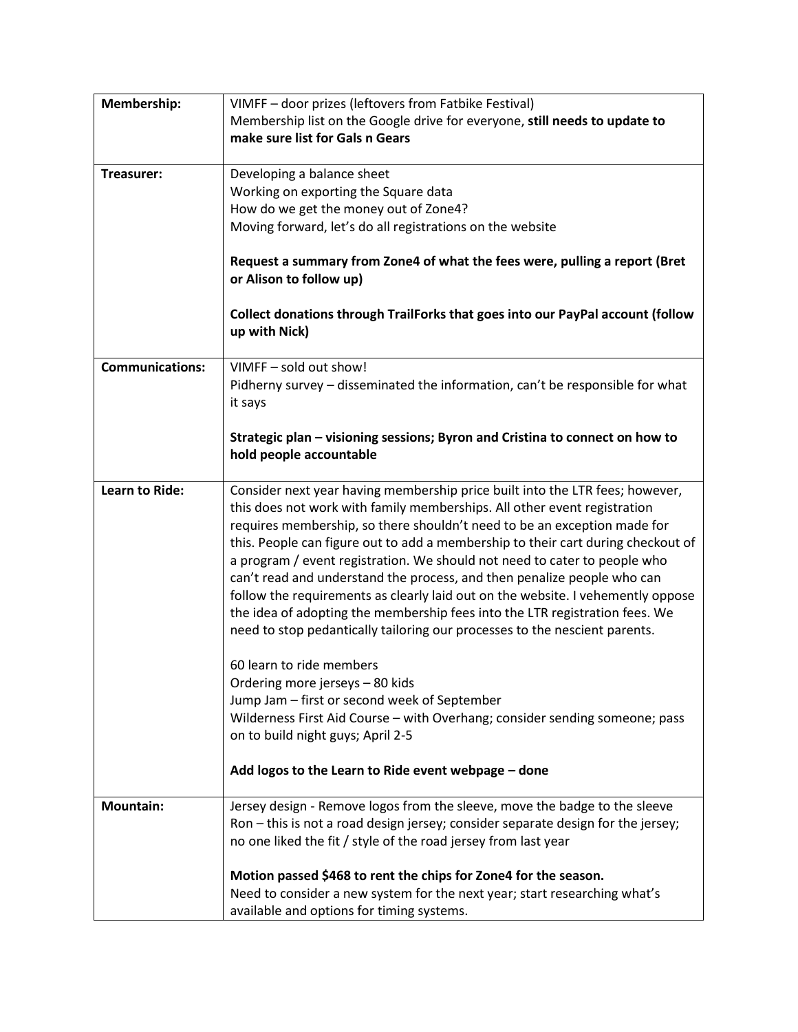| Membership:            | VIMFF - door prizes (leftovers from Fatbike Festival)                                                                                                    |  |
|------------------------|----------------------------------------------------------------------------------------------------------------------------------------------------------|--|
|                        | Membership list on the Google drive for everyone, still needs to update to                                                                               |  |
|                        | make sure list for Gals n Gears                                                                                                                          |  |
|                        |                                                                                                                                                          |  |
| Treasurer:             | Developing a balance sheet                                                                                                                               |  |
|                        | Working on exporting the Square data                                                                                                                     |  |
|                        | How do we get the money out of Zone4?                                                                                                                    |  |
|                        | Moving forward, let's do all registrations on the website                                                                                                |  |
|                        |                                                                                                                                                          |  |
|                        | Request a summary from Zone4 of what the fees were, pulling a report (Bret                                                                               |  |
|                        | or Alison to follow up)                                                                                                                                  |  |
|                        |                                                                                                                                                          |  |
|                        | Collect donations through TrailForks that goes into our PayPal account (follow<br>up with Nick)                                                          |  |
|                        |                                                                                                                                                          |  |
| <b>Communications:</b> | VIMFF - sold out show!                                                                                                                                   |  |
|                        | Pidherny survey - disseminated the information, can't be responsible for what                                                                            |  |
|                        | it says                                                                                                                                                  |  |
|                        |                                                                                                                                                          |  |
|                        | Strategic plan - visioning sessions; Byron and Cristina to connect on how to                                                                             |  |
|                        | hold people accountable                                                                                                                                  |  |
|                        |                                                                                                                                                          |  |
| <b>Learn to Ride:</b>  | Consider next year having membership price built into the LTR fees; however,<br>this does not work with family memberships. All other event registration |  |
|                        | requires membership, so there shouldn't need to be an exception made for                                                                                 |  |
|                        | this. People can figure out to add a membership to their cart during checkout of                                                                         |  |
|                        | a program / event registration. We should not need to cater to people who                                                                                |  |
|                        | can't read and understand the process, and then penalize people who can                                                                                  |  |
|                        |                                                                                                                                                          |  |
|                        | follow the requirements as clearly laid out on the website. I vehemently oppose                                                                          |  |
|                        | the idea of adopting the membership fees into the LTR registration fees. We                                                                              |  |
|                        | need to stop pedantically tailoring our processes to the nescient parents.                                                                               |  |
|                        | 60 learn to ride members                                                                                                                                 |  |
|                        | Ordering more jerseys - 80 kids                                                                                                                          |  |
|                        | Jump Jam - first or second week of September                                                                                                             |  |
|                        | Wilderness First Aid Course - with Overhang; consider sending someone; pass                                                                              |  |
|                        | on to build night guys; April 2-5                                                                                                                        |  |
|                        |                                                                                                                                                          |  |
|                        | Add logos to the Learn to Ride event webpage - done                                                                                                      |  |
|                        |                                                                                                                                                          |  |
| <b>Mountain:</b>       | Jersey design - Remove logos from the sleeve, move the badge to the sleeve                                                                               |  |
|                        | Ron – this is not a road design jersey; consider separate design for the jersey;                                                                         |  |
|                        | no one liked the fit / style of the road jersey from last year                                                                                           |  |
|                        |                                                                                                                                                          |  |
|                        | Motion passed \$468 to rent the chips for Zone4 for the season.                                                                                          |  |
|                        | Need to consider a new system for the next year; start researching what's                                                                                |  |
|                        | available and options for timing systems.                                                                                                                |  |